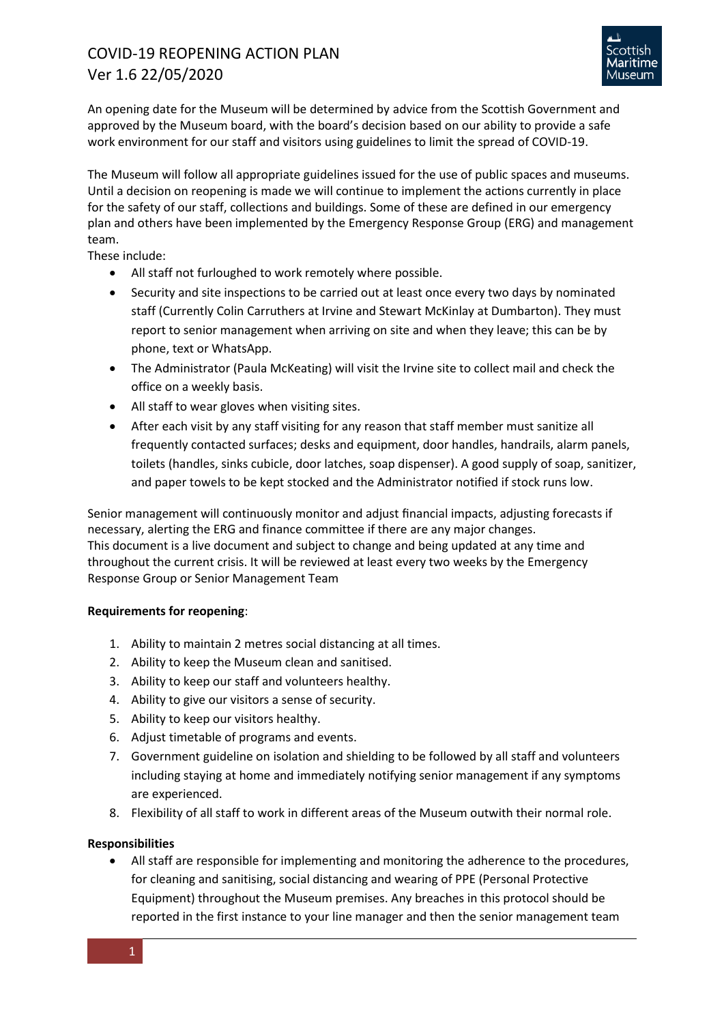

An opening date for the Museum will be determined by advice from the Scottish Government and approved by the Museum board, with the board's decision based on our ability to provide a safe work environment for our staff and visitors using guidelines to limit the spread of COVID-19.

The Museum will follow all appropriate guidelines issued for the use of public spaces and museums. Until a decision on reopening is made we will continue to implement the actions currently in place for the safety of our staff, collections and buildings. Some of these are defined in our emergency plan and others have been implemented by the Emergency Response Group (ERG) and management team.

These include:

- All staff not furloughed to work remotely where possible.
- Security and site inspections to be carried out at least once every two days by nominated staff (Currently Colin Carruthers at Irvine and Stewart McKinlay at Dumbarton). They must report to senior management when arriving on site and when they leave; this can be by phone, text or WhatsApp.
- The Administrator (Paula McKeating) will visit the Irvine site to collect mail and check the office on a weekly basis.
- All staff to wear gloves when visiting sites.
- After each visit by any staff visiting for any reason that staff member must sanitize all frequently contacted surfaces; desks and equipment, door handles, handrails, alarm panels, toilets (handles, sinks cubicle, door latches, soap dispenser). A good supply of soap, sanitizer, and paper towels to be kept stocked and the Administrator notified if stock runs low.

Senior management will continuously monitor and adjust financial impacts, adjusting forecasts if necessary, alerting the ERG and finance committee if there are any major changes. This document is a live document and subject to change and being updated at any time and throughout the current crisis. It will be reviewed at least every two weeks by the Emergency Response Group or Senior Management Team

# **Requirements for reopening**:

- 1. Ability to maintain 2 metres social distancing at all times.
- 2. Ability to keep the Museum clean and sanitised.
- 3. Ability to keep our staff and volunteers healthy.
- 4. Ability to give our visitors a sense of security.
- 5. Ability to keep our visitors healthy.
- 6. Adjust timetable of programs and events.
- 7. Government guideline on isolation and shielding to be followed by all staff and volunteers including staying at home and immediately notifying senior management if any symptoms are experienced.
- 8. Flexibility of all staff to work in different areas of the Museum outwith their normal role.

# **Responsibilities**

• All staff are responsible for implementing and monitoring the adherence to the procedures, for cleaning and sanitising, social distancing and wearing of PPE (Personal Protective Equipment) throughout the Museum premises. Any breaches in this protocol should be reported in the first instance to your line manager and then the senior management team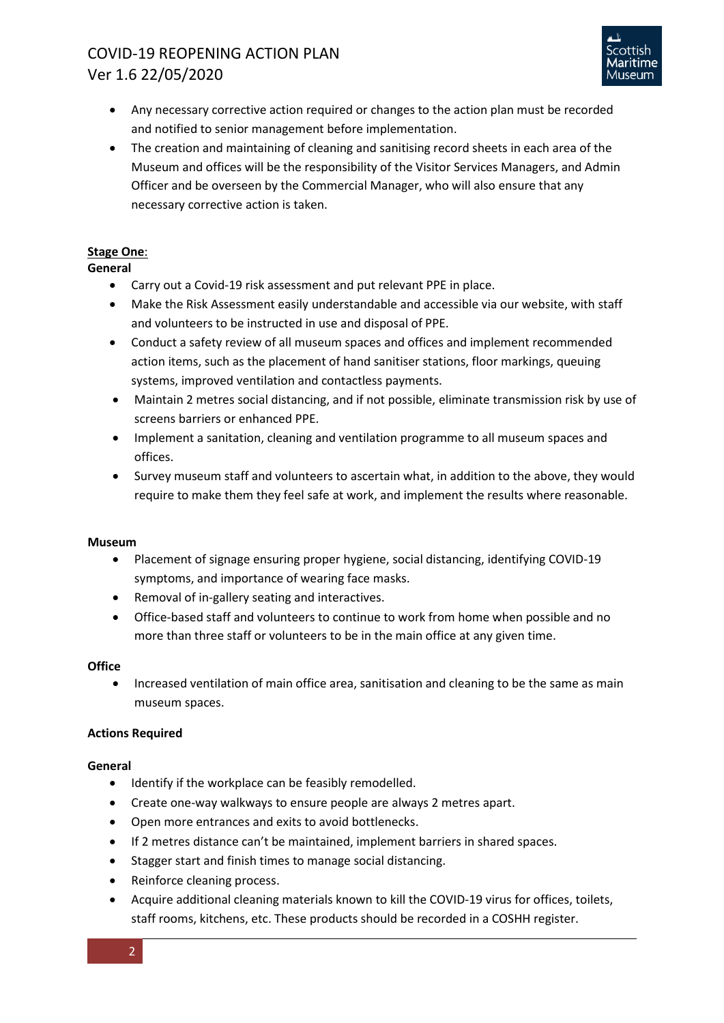

- Any necessary corrective action required or changes to the action plan must be recorded and notified to senior management before implementation.
- The creation and maintaining of cleaning and sanitising record sheets in each area of the Museum and offices will be the responsibility of the Visitor Services Managers, and Admin Officer and be overseen by the Commercial Manager, who will also ensure that any necessary corrective action is taken.

# **Stage One**:

# **General**

- Carry out a Covid-19 risk assessment and put relevant PPE in place.
- Make the Risk Assessment easily understandable and accessible via our website, with staff and volunteers to be instructed in use and disposal of PPE.
- Conduct a safety review of all museum spaces and offices and implement recommended action items, such as the placement of hand sanitiser stations, floor markings, queuing systems, improved ventilation and contactless payments.
- Maintain 2 metres social distancing, and if not possible, eliminate transmission risk by use of screens barriers or enhanced PPE.
- Implement a sanitation, cleaning and ventilation programme to all museum spaces and offices.
- Survey museum staff and volunteers to ascertain what, in addition to the above, they would require to make them they feel safe at work, and implement the results where reasonable.

### **Museum**

- Placement of signage ensuring proper hygiene, social distancing, identifying COVID-19 symptoms, and importance of wearing face masks.
- Removal of in-gallery seating and interactives.
- Office-based staff and volunteers to continue to work from home when possible and no more than three staff or volunteers to be in the main office at any given time.

### **Office**

• Increased ventilation of main office area, sanitisation and cleaning to be the same as main museum spaces.

# **Actions Required**

# **General**

- Identify if the workplace can be feasibly remodelled.
- Create one-way walkways to ensure people are always 2 metres apart.
- Open more entrances and exits to avoid bottlenecks.
- If 2 metres distance can't be maintained, implement barriers in shared spaces.
- Stagger start and finish times to manage social distancing.
- Reinforce cleaning process.
- Acquire additional cleaning materials known to kill the COVID-19 virus for offices, toilets, staff rooms, kitchens, etc. These products should be recorded in a COSHH register.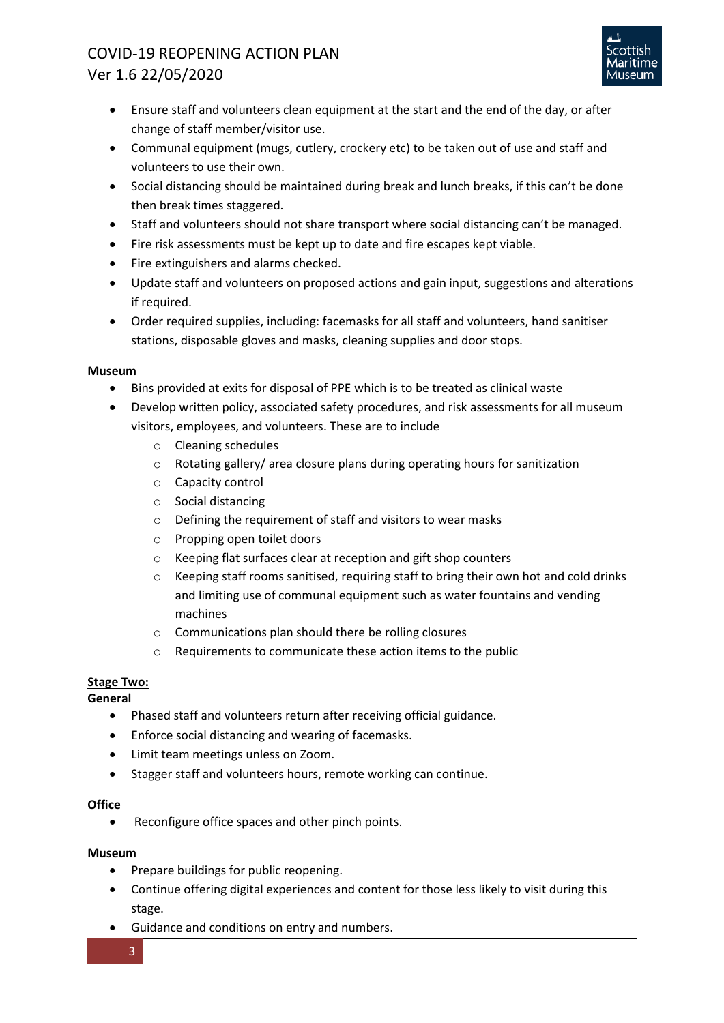

- Ensure staff and volunteers clean equipment at the start and the end of the day, or after change of staff member/visitor use.
- Communal equipment (mugs, cutlery, crockery etc) to be taken out of use and staff and volunteers to use their own.
- Social distancing should be maintained during break and lunch breaks, if this can't be done then break times staggered.
- Staff and volunteers should not share transport where social distancing can't be managed.
- Fire risk assessments must be kept up to date and fire escapes kept viable.
- Fire extinguishers and alarms checked.
- Update staff and volunteers on proposed actions and gain input, suggestions and alterations if required.
- Order required supplies, including: facemasks for all staff and volunteers, hand sanitiser stations, disposable gloves and masks, cleaning supplies and door stops.

### **Museum**

- Bins provided at exits for disposal of PPE which is to be treated as clinical waste
- Develop written policy, associated safety procedures, and risk assessments for all museum visitors, employees, and volunteers. These are to include
	- o Cleaning schedules
	- $\circ$  Rotating gallery/ area closure plans during operating hours for sanitization
	- o Capacity control
	- o Social distancing
	- o Defining the requirement of staff and visitors to wear masks
	- o Propping open toilet doors
	- o Keeping flat surfaces clear at reception and gift shop counters
	- $\circ$  Keeping staff rooms sanitised, requiring staff to bring their own hot and cold drinks and limiting use of communal equipment such as water fountains and vending machines
	- o Communications plan should there be rolling closures
	- o Requirements to communicate these action items to the public

# **Stage Two:**

**General**

- Phased staff and volunteers return after receiving official guidance.
- Enforce social distancing and wearing of facemasks.
- Limit team meetings unless on Zoom.
- Stagger staff and volunteers hours, remote working can continue.

# **Office**

• Reconfigure office spaces and other pinch points.

# **Museum**

- Prepare buildings for public reopening.
- Continue offering digital experiences and content for those less likely to visit during this stage.
- Guidance and conditions on entry and numbers.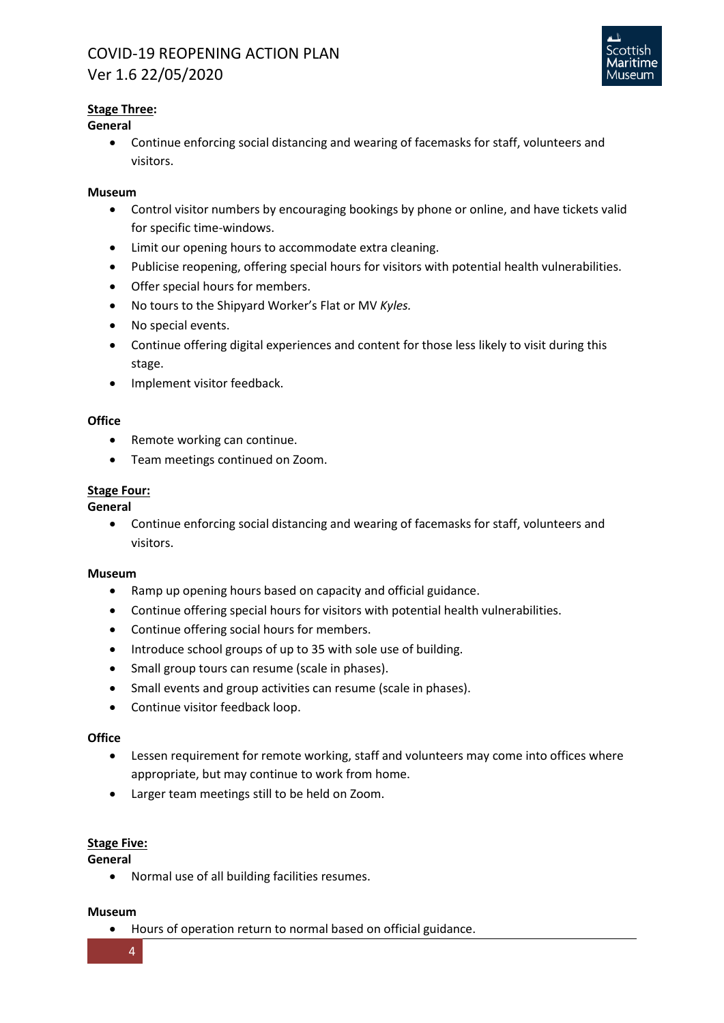

# **Stage Three:**

# **General**

• Continue enforcing social distancing and wearing of facemasks for staff, volunteers and visitors.

## **Museum**

- Control visitor numbers by encouraging bookings by phone or online, and have tickets valid for specific time-windows.
- Limit our opening hours to accommodate extra cleaning.
- Publicise reopening, offering special hours for visitors with potential health vulnerabilities.
- Offer special hours for members.
- No tours to the Shipyard Worker's Flat or MV *Kyles.*
- No special events.
- Continue offering digital experiences and content for those less likely to visit during this stage.
- Implement visitor feedback.

## **Office**

- Remote working can continue.
- Team meetings continued on Zoom.

# **Stage Four:**

**General**

• Continue enforcing social distancing and wearing of facemasks for staff, volunteers and visitors.

### **Museum**

- Ramp up opening hours based on capacity and official guidance.
- Continue offering special hours for visitors with potential health vulnerabilities.
- Continue offering social hours for members.
- Introduce school groups of up to 35 with sole use of building.
- Small group tours can resume (scale in phases).
- Small events and group activities can resume (scale in phases).
- Continue visitor feedback loop.

### **Office**

- Lessen requirement for remote working, staff and volunteers may come into offices where appropriate, but may continue to work from home.
- Larger team meetings still to be held on Zoom.

### **Stage Five:**

**General**

• Normal use of all building facilities resumes.

### **Museum**

• Hours of operation return to normal based on official guidance.